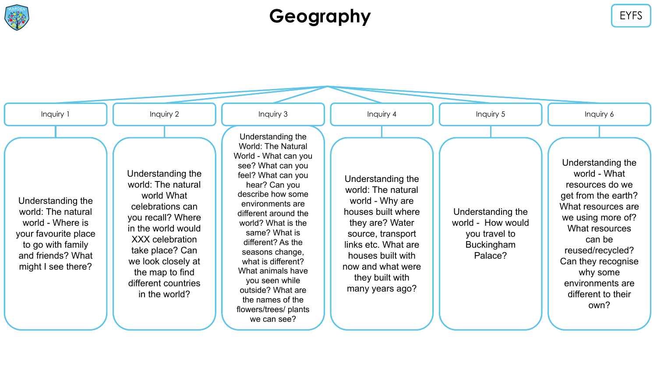

#### **Geography** EYFS

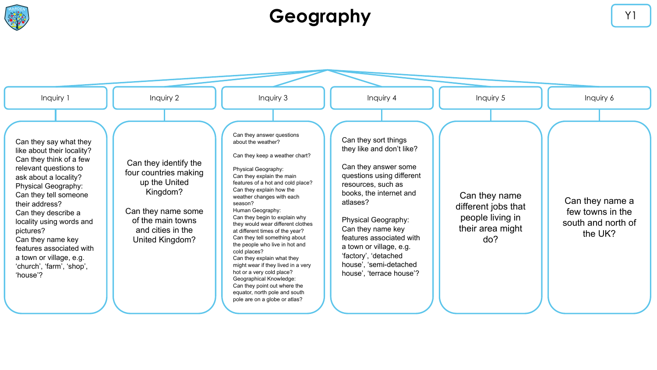

### **Geography** Y1

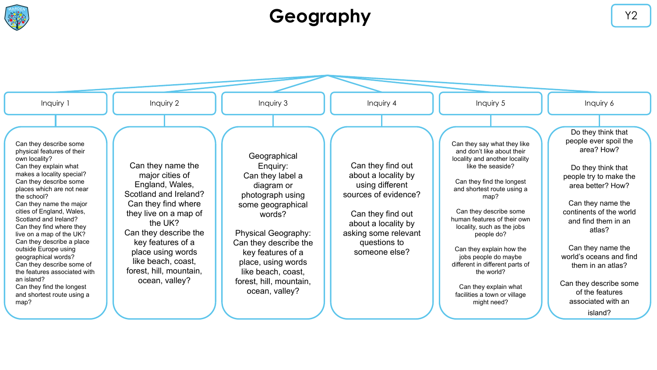

## **Geography** Y2

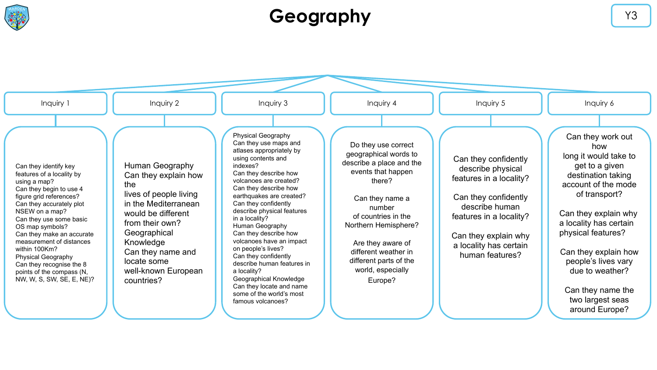

## **Geography** Y3

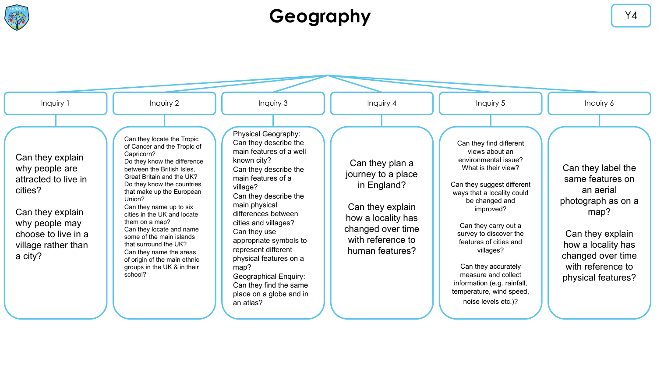

# Geography **Series All Series and Series and Series All Structure of the Series All Structure of the V4**

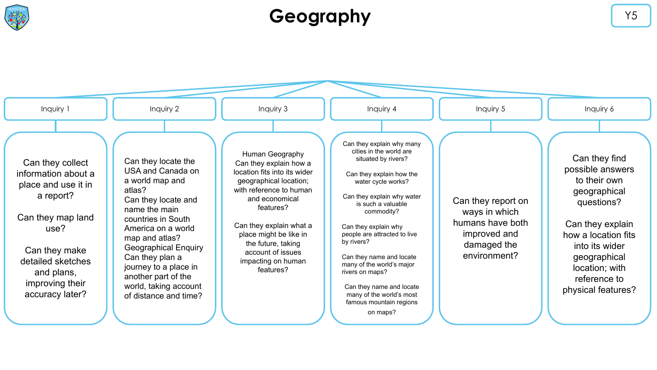

## Geography **Geography**  $\begin{array}{ccc} \bullet & \bullet & \bullet & \bullet \end{array}$